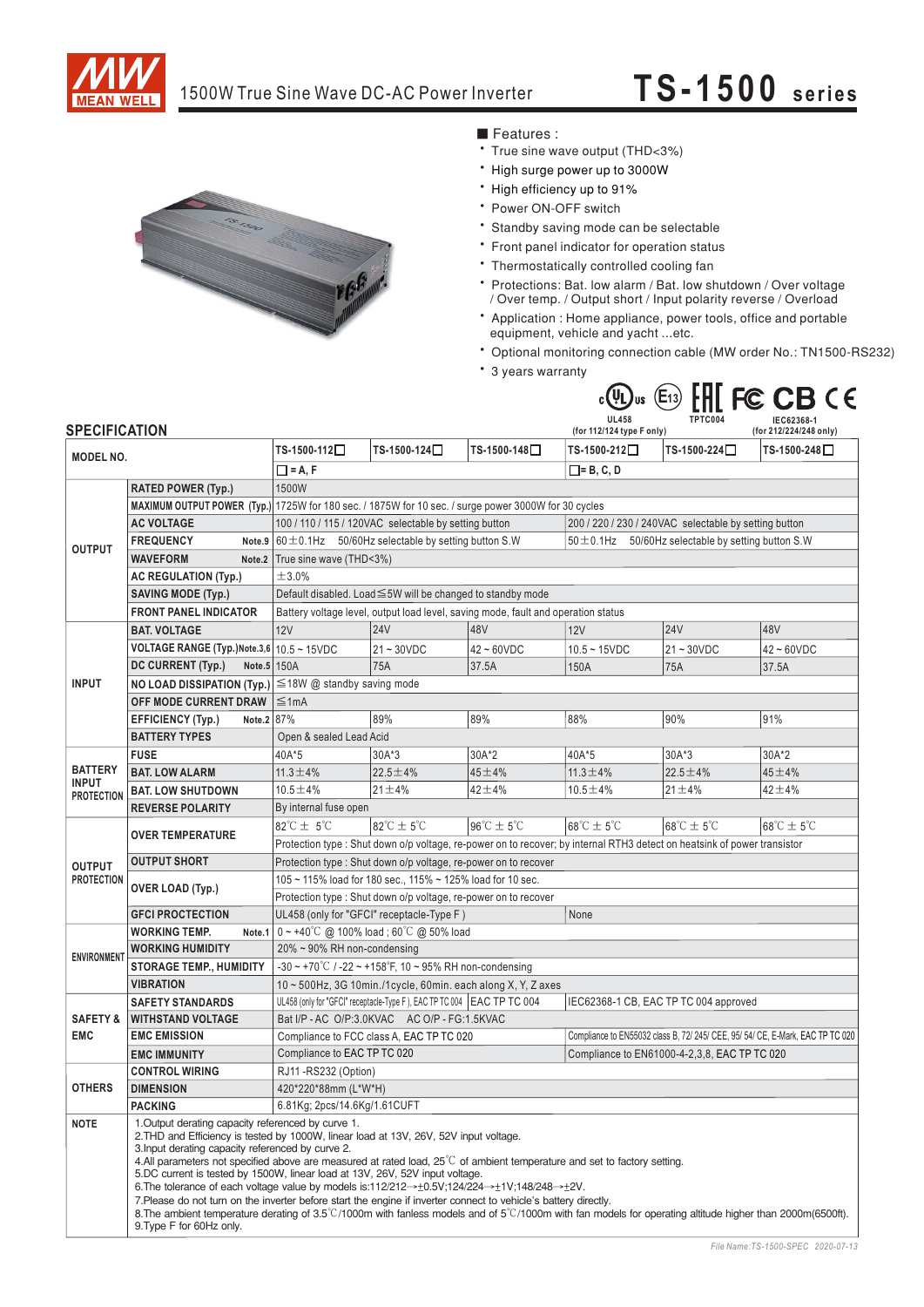

# 1500W True Sine Wave DC-AC Power Inverter **TS-1500 series**



# ■ Features :

- True sine wave output (THD<3%)
- \* High surge power up to 3000W
- \* High efficiency up to 91%
- \* Power ON-OFF switch
- \* Standby saving mode can be selectable
- \* Front panel indicator for operation status
- Thermostatically controlled cooling fan
- Protections: Bat. low alarm / Bat. low shutdown / Over voltage / Over temp. / Output short / Input polarity reverse / Overload
- Application : Home appliance, power tools, office and portable equipment, vehicle and yacht ...etc.
- Optional monitoring connection cable (MW order No.: TN1500-RS232)
- \* 3 years warranty



| <b>SPECIFICATION</b>                                |                                                                                                                                                                                                                                                                                                                                                                                                                                                                                                                                                                                                                                                                                                                                                                                                                                                                                       |                                                                                                                          |                                     | (for 112/124 type F only)           |                                                                                | (for 212/224/248 only)              |                                     |
|-----------------------------------------------------|---------------------------------------------------------------------------------------------------------------------------------------------------------------------------------------------------------------------------------------------------------------------------------------------------------------------------------------------------------------------------------------------------------------------------------------------------------------------------------------------------------------------------------------------------------------------------------------------------------------------------------------------------------------------------------------------------------------------------------------------------------------------------------------------------------------------------------------------------------------------------------------|--------------------------------------------------------------------------------------------------------------------------|-------------------------------------|-------------------------------------|--------------------------------------------------------------------------------|-------------------------------------|-------------------------------------|
| <b>MODEL NO.</b>                                    |                                                                                                                                                                                                                                                                                                                                                                                                                                                                                                                                                                                                                                                                                                                                                                                                                                                                                       | TS-1500-112□                                                                                                             | TS-1500-124□                        | TS-1500-148□                        | TS-1500-212□                                                                   | TS-1500-224□                        | TS-1500-248□                        |
|                                                     |                                                                                                                                                                                                                                                                                                                                                                                                                                                                                                                                                                                                                                                                                                                                                                                                                                                                                       | $\Box$ = A, F<br>$\square$ = B, C, D                                                                                     |                                     |                                     |                                                                                |                                     |                                     |
|                                                     | <b>RATED POWER (Typ.)</b>                                                                                                                                                                                                                                                                                                                                                                                                                                                                                                                                                                                                                                                                                                                                                                                                                                                             | 1500W                                                                                                                    |                                     |                                     |                                                                                |                                     |                                     |
| <b>OUTPUT</b>                                       |                                                                                                                                                                                                                                                                                                                                                                                                                                                                                                                                                                                                                                                                                                                                                                                                                                                                                       | MAXIMUM OUTPUT POWER (Typ.) 1725W for 180 sec. / 1875W for 10 sec. / surge power 3000W for 30 cycles                     |                                     |                                     |                                                                                |                                     |                                     |
|                                                     | <b>AC VOLTAGE</b>                                                                                                                                                                                                                                                                                                                                                                                                                                                                                                                                                                                                                                                                                                                                                                                                                                                                     | 100 / 110 / 115 / 120VAC selectable by setting button                                                                    |                                     |                                     | 200 / 220 / 230 / 240VAC selectable by setting button                          |                                     |                                     |
|                                                     | <b>FREQUENCY</b>                                                                                                                                                                                                                                                                                                                                                                                                                                                                                                                                                                                                                                                                                                                                                                                                                                                                      | Note.9 $60 \pm 0.1$ Hz 50/60Hz selectable by setting button S.W                                                          |                                     |                                     | $50 \pm 0.1$ Hz 50/60Hz selectable by setting button S.W                       |                                     |                                     |
|                                                     | <b>WAVEFORM</b>                                                                                                                                                                                                                                                                                                                                                                                                                                                                                                                                                                                                                                                                                                                                                                                                                                                                       | Note.2   True sine wave (THD<3%)                                                                                         |                                     |                                     |                                                                                |                                     |                                     |
|                                                     | <b>AC REGULATION (Typ.)</b>                                                                                                                                                                                                                                                                                                                                                                                                                                                                                                                                                                                                                                                                                                                                                                                                                                                           | ±3.0%                                                                                                                    |                                     |                                     |                                                                                |                                     |                                     |
|                                                     | <b>SAVING MODE (Typ.)</b>                                                                                                                                                                                                                                                                                                                                                                                                                                                                                                                                                                                                                                                                                                                                                                                                                                                             | Default disabled. Load ≤5W will be changed to standby mode                                                               |                                     |                                     |                                                                                |                                     |                                     |
|                                                     | <b>FRONT PANEL INDICATOR</b>                                                                                                                                                                                                                                                                                                                                                                                                                                                                                                                                                                                                                                                                                                                                                                                                                                                          | Battery voltage level, output load level, saving mode, fault and operation status                                        |                                     |                                     |                                                                                |                                     |                                     |
| <b>INPUT</b>                                        | <b>BAT. VOLTAGE</b>                                                                                                                                                                                                                                                                                                                                                                                                                                                                                                                                                                                                                                                                                                                                                                                                                                                                   | <b>12V</b>                                                                                                               | 24V                                 | 48V                                 | <b>12V</b>                                                                     | <b>24V</b>                          | 48V                                 |
|                                                     | VOLTAGE RANGE (Typ.) Note.3,6 $10.5 \sim 15$ VDC                                                                                                                                                                                                                                                                                                                                                                                                                                                                                                                                                                                                                                                                                                                                                                                                                                      |                                                                                                                          | $21 - 30VDC$                        | $42 - 60$ VDC                       | $10.5 - 15VDC$                                                                 | $21 - 30VDC$                        | $42 - 60$ VDC                       |
|                                                     | DC CURRENT (Typ.)<br>Note.5 150A                                                                                                                                                                                                                                                                                                                                                                                                                                                                                                                                                                                                                                                                                                                                                                                                                                                      |                                                                                                                          | <b>75A</b>                          | 37.5A                               | 150A                                                                           | 75A                                 | 37.5A                               |
|                                                     |                                                                                                                                                                                                                                                                                                                                                                                                                                                                                                                                                                                                                                                                                                                                                                                                                                                                                       | NO LOAD DISSIPATION (Typ.) ≤18W @ standby saving mode                                                                    |                                     |                                     |                                                                                |                                     |                                     |
|                                                     | OFF MODE CURRENT DRAW                                                                                                                                                                                                                                                                                                                                                                                                                                                                                                                                                                                                                                                                                                                                                                                                                                                                 | $\leq 1$ mA                                                                                                              |                                     |                                     |                                                                                |                                     |                                     |
|                                                     | Note.2 87%<br><b>EFFICIENCY (Typ.)</b>                                                                                                                                                                                                                                                                                                                                                                                                                                                                                                                                                                                                                                                                                                                                                                                                                                                |                                                                                                                          | 89%                                 | 89%                                 | 88%                                                                            | 90%                                 | 91%                                 |
|                                                     | <b>BATTERY TYPES</b>                                                                                                                                                                                                                                                                                                                                                                                                                                                                                                                                                                                                                                                                                                                                                                                                                                                                  | Open & sealed Lead Acid                                                                                                  |                                     |                                     |                                                                                |                                     |                                     |
| <b>BATTERY</b><br><b>INPUT</b><br><b>PROTECTION</b> | <b>FUSE</b>                                                                                                                                                                                                                                                                                                                                                                                                                                                                                                                                                                                                                                                                                                                                                                                                                                                                           | 40A*5                                                                                                                    | 30A*3                               | 30A*2                               | 40A*5                                                                          | 30A*3                               | 30A*2                               |
|                                                     | <b>BAT. LOW ALARM</b>                                                                                                                                                                                                                                                                                                                                                                                                                                                                                                                                                                                                                                                                                                                                                                                                                                                                 | $11.3 \pm 4\%$                                                                                                           | $22.5 \pm 4\%$                      | $45 + 4%$                           | $11.3 \pm 4\%$                                                                 | 22.5 ±4%                            | $45 + 4%$                           |
|                                                     | <b>BAT. LOW SHUTDOWN</b>                                                                                                                                                                                                                                                                                                                                                                                                                                                                                                                                                                                                                                                                                                                                                                                                                                                              | $10.5 \pm 4\%$                                                                                                           | $21 \pm 4\%$                        | $42 + 4%$                           | $10.5 \pm 4\%$                                                                 | $21 \pm 4\%$                        | $42 + 4%$                           |
|                                                     | <b>REVERSE POLARITY</b>                                                                                                                                                                                                                                                                                                                                                                                                                                                                                                                                                                                                                                                                                                                                                                                                                                                               | By internal fuse open                                                                                                    |                                     |                                     |                                                                                |                                     |                                     |
| <b>OUTPUT</b><br><b>PROTECTION</b>                  | <b>OVER TEMPERATURE</b>                                                                                                                                                                                                                                                                                                                                                                                                                                                                                                                                                                                                                                                                                                                                                                                                                                                               | $82^{\circ}$ C $\pm$ 5°C                                                                                                 | $82^{\circ}$ C $\pm$ 5 $^{\circ}$ C | $96^{\circ}$ C $\pm$ 5 $^{\circ}$ C | $68^{\circ}$ C $\pm$ 5 $^{\circ}$ C                                            | $68^{\circ}$ C $\pm$ 5 $^{\circ}$ C | $68^{\circ}$ C $\pm$ 5 $^{\circ}$ C |
|                                                     |                                                                                                                                                                                                                                                                                                                                                                                                                                                                                                                                                                                                                                                                                                                                                                                                                                                                                       | Protection type : Shut down o/p voltage, re-power on to recover; by internal RTH3 detect on heatsink of power transistor |                                     |                                     |                                                                                |                                     |                                     |
|                                                     | <b>OUTPUT SHORT</b>                                                                                                                                                                                                                                                                                                                                                                                                                                                                                                                                                                                                                                                                                                                                                                                                                                                                   | Protection type: Shut down o/p voltage, re-power on to recover                                                           |                                     |                                     |                                                                                |                                     |                                     |
|                                                     | <b>OVER LOAD (Typ.)</b>                                                                                                                                                                                                                                                                                                                                                                                                                                                                                                                                                                                                                                                                                                                                                                                                                                                               | 105 ~ 115% load for 180 sec., 115% ~ 125% load for 10 sec.                                                               |                                     |                                     |                                                                                |                                     |                                     |
|                                                     |                                                                                                                                                                                                                                                                                                                                                                                                                                                                                                                                                                                                                                                                                                                                                                                                                                                                                       | Protection type : Shut down o/p voltage, re-power on to recover                                                          |                                     |                                     |                                                                                |                                     |                                     |
|                                                     | <b>GFCI PROCTECTION</b>                                                                                                                                                                                                                                                                                                                                                                                                                                                                                                                                                                                                                                                                                                                                                                                                                                                               | UL458 (only for "GFCI" receptacle-Type F)                                                                                |                                     |                                     | None                                                                           |                                     |                                     |
| <b>ENVIRONMENT</b>                                  | <b>WORKING TEMP.</b><br>Note.1                                                                                                                                                                                                                                                                                                                                                                                                                                                                                                                                                                                                                                                                                                                                                                                                                                                        | $0 \sim +40^{\circ}$ C @ 100% load; 60°C @ 50% load                                                                      |                                     |                                     |                                                                                |                                     |                                     |
|                                                     | <b>WORKING HUMIDITY</b>                                                                                                                                                                                                                                                                                                                                                                                                                                                                                                                                                                                                                                                                                                                                                                                                                                                               | 20% ~ 90% RH non-condensing                                                                                              |                                     |                                     |                                                                                |                                     |                                     |
|                                                     | <b>STORAGE TEMP., HUMIDITY</b>                                                                                                                                                                                                                                                                                                                                                                                                                                                                                                                                                                                                                                                                                                                                                                                                                                                        | -30 ~ +70 °C / -22 ~ +158 °F, 10 ~ 95% RH non-condensing                                                                 |                                     |                                     |                                                                                |                                     |                                     |
|                                                     | <b>VIBRATION</b>                                                                                                                                                                                                                                                                                                                                                                                                                                                                                                                                                                                                                                                                                                                                                                                                                                                                      | 10~500Hz, 3G 10min./1cycle, 60min. each along X, Y, Z axes                                                               |                                     |                                     |                                                                                |                                     |                                     |
|                                                     | <b>SAFETY STANDARDS</b>                                                                                                                                                                                                                                                                                                                                                                                                                                                                                                                                                                                                                                                                                                                                                                                                                                                               | UL458 (only for "GFCI" receptacle-Type F), EAC TP TC 004 EAC TP TC 004                                                   |                                     |                                     | IEC62368-1 CB, EAC TP TC 004 approved                                          |                                     |                                     |
| <b>SAFETY &amp;</b><br><b>EMC</b>                   | <b>WITHSTAND VOLTAGE</b>                                                                                                                                                                                                                                                                                                                                                                                                                                                                                                                                                                                                                                                                                                                                                                                                                                                              | Bat I/P - AC O/P:3.0KVAC AC O/P - FG:1.5KVAC                                                                             |                                     |                                     |                                                                                |                                     |                                     |
|                                                     | <b>EMC EMISSION</b>                                                                                                                                                                                                                                                                                                                                                                                                                                                                                                                                                                                                                                                                                                                                                                                                                                                                   | Compliance to FCC class A, EAC TP TC 020                                                                                 |                                     |                                     | Compliance to EN55032 class B, 72/ 245/ CEE, 95/ 54/ CE, E-Mark, EAC TP TC 020 |                                     |                                     |
|                                                     | <b>EMC IMMUNITY</b>                                                                                                                                                                                                                                                                                                                                                                                                                                                                                                                                                                                                                                                                                                                                                                                                                                                                   | Compliance to EAC TP TC 020                                                                                              |                                     |                                     | Compliance to EN61000-4-2,3,8, EAC TP TC 020                                   |                                     |                                     |
| <b>OTHERS</b>                                       | <b>CONTROL WIRING</b>                                                                                                                                                                                                                                                                                                                                                                                                                                                                                                                                                                                                                                                                                                                                                                                                                                                                 | RJ11-RS232 (Option)                                                                                                      |                                     |                                     |                                                                                |                                     |                                     |
|                                                     | <b>DIMENSION</b>                                                                                                                                                                                                                                                                                                                                                                                                                                                                                                                                                                                                                                                                                                                                                                                                                                                                      | 420*220*88mm (L*W*H)                                                                                                     |                                     |                                     |                                                                                |                                     |                                     |
|                                                     | <b>PACKING</b>                                                                                                                                                                                                                                                                                                                                                                                                                                                                                                                                                                                                                                                                                                                                                                                                                                                                        | 6.81Kg; 2pcs/14.6Kg/1.61CUFT                                                                                             |                                     |                                     |                                                                                |                                     |                                     |
| <b>NOTE</b>                                         | 1. Output derating capacity referenced by curve 1.<br>2. THD and Efficiency is tested by 1000W, linear load at 13V, 26V, 52V input voltage.<br>3. Input derating capacity referenced by curve 2.<br>4.All parameters not specified above are measured at rated load, $25^{\circ}$ of ambient temperature and set to factory setting.<br>5.DC current is tested by 1500W, linear load at 13V, 26V, 52V input voltage.<br>6. The tolerance of each voltage value by models is:112/212 $\rightarrow \pm 0.5V$ ;124/224 $\rightarrow \pm 1V$ ;148/248 $\rightarrow \pm 2V$ .<br>7. Please do not turn on the inverter before start the engine if inverter connect to vehicle's battery directly.<br>8. The ambient temperature derating of 3.5°C/1000m with fanless models and of 5°C/1000m with fan models for operating altitude higher than 2000m(6500ft).<br>9. Type F for 60Hz only. |                                                                                                                          |                                     |                                     |                                                                                |                                     |                                     |